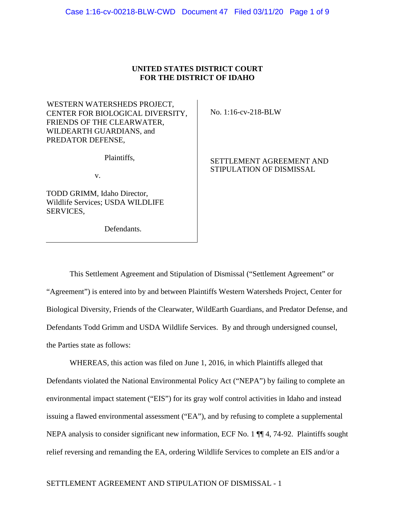# **UNITED STATES DISTRICT COURT FOR THE DISTRICT OF IDAHO**

WESTERN WATERSHEDS PROJECT, CENTER FOR BIOLOGICAL DIVERSITY, FRIENDS OF THE CLEARWATER, WILDEARTH GUARDIANS, and PREDATOR DEFENSE,

Plaintiffs,

v.

TODD GRIMM, Idaho Director, Wildlife Services; USDA WILDLIFE SERVICES,

Defendants.

No. 1:16-cv-218-BLW

# SETTLEMENT AGREEMENT AND STIPULATION OF DISMISSAL

This Settlement Agreement and Stipulation of Dismissal ("Settlement Agreement" or "Agreement") is entered into by and between Plaintiffs Western Watersheds Project, Center for Biological Diversity, Friends of the Clearwater, WildEarth Guardians, and Predator Defense, and Defendants Todd Grimm and USDA Wildlife Services. By and through undersigned counsel, the Parties state as follows:

WHEREAS, this action was filed on June 1, 2016, in which Plaintiffs alleged that Defendants violated the National Environmental Policy Act ("NEPA") by failing to complete an environmental impact statement ("EIS") for its gray wolf control activities in Idaho and instead issuing a flawed environmental assessment ("EA"), and by refusing to complete a supplemental NEPA analysis to consider significant new information, ECF No. 1  $\P$  4, 74-92. Plaintiffs sought relief reversing and remanding the EA, ordering Wildlife Services to complete an EIS and/or a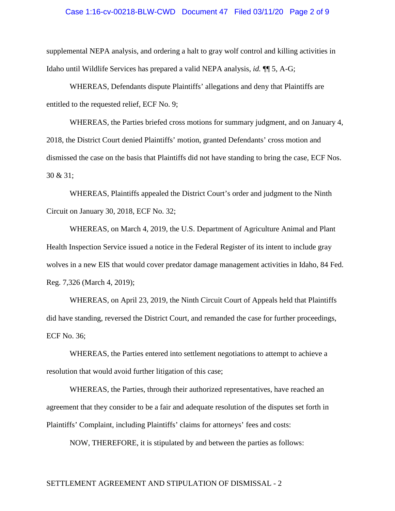### Case 1:16-cv-00218-BLW-CWD Document 47 Filed 03/11/20 Page 2 of 9

supplemental NEPA analysis, and ordering a halt to gray wolf control and killing activities in Idaho until Wildlife Services has prepared a valid NEPA analysis, *id.* ¶¶ 5, A-G;

WHEREAS, Defendants dispute Plaintiffs' allegations and deny that Plaintiffs are entitled to the requested relief, ECF No. 9;

WHEREAS, the Parties briefed cross motions for summary judgment, and on January 4, 2018, the District Court denied Plaintiffs' motion, granted Defendants' cross motion and dismissed the case on the basis that Plaintiffs did not have standing to bring the case, ECF Nos. 30 & 31;

WHEREAS, Plaintiffs appealed the District Court's order and judgment to the Ninth Circuit on January 30, 2018, ECF No. 32;

WHEREAS, on March 4, 2019, the U.S. Department of Agriculture Animal and Plant Health Inspection Service issued a notice in the Federal Register of its intent to include gray wolves in a new EIS that would cover predator damage management activities in Idaho, 84 Fed. Reg. 7,326 (March 4, 2019);

WHEREAS, on April 23, 2019, the Ninth Circuit Court of Appeals held that Plaintiffs did have standing, reversed the District Court, and remanded the case for further proceedings, ECF No. 36;

WHEREAS, the Parties entered into settlement negotiations to attempt to achieve a resolution that would avoid further litigation of this case;

WHEREAS, the Parties, through their authorized representatives, have reached an agreement that they consider to be a fair and adequate resolution of the disputes set forth in Plaintiffs' Complaint, including Plaintiffs' claims for attorneys' fees and costs:

NOW, THEREFORE, it is stipulated by and between the parties as follows: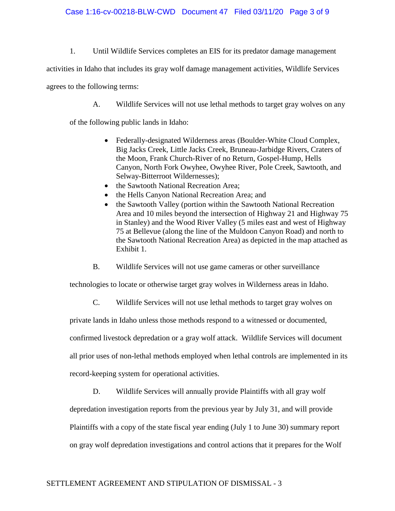### Case 1:16-cv-00218-BLW-CWD Document 47 Filed 03/11/20 Page 3 of 9

1. Until Wildlife Services completes an EIS for its predator damage management

activities in Idaho that includes its gray wolf damage management activities, Wildlife Services

agrees to the following terms:

A. Wildlife Services will not use lethal methods to target gray wolves on any

of the following public lands in Idaho:

- Federally-designated Wilderness areas (Boulder-White Cloud Complex, Big Jacks Creek, Little Jacks Creek, Bruneau-Jarbidge Rivers, Craters of the Moon, Frank Church-River of no Return, Gospel-Hump, Hells Canyon, North Fork Owyhee, Owyhee River, Pole Creek, Sawtooth, and Selway-Bitterroot Wildernesses);
- the Sawtooth National Recreation Area;
- the Hells Canyon National Recreation Area; and
- the Sawtooth Valley (portion within the Sawtooth National Recreation Area and 10 miles beyond the intersection of Highway 21 and Highway 75 in Stanley) and the Wood River Valley (5 miles east and west of Highway 75 at Bellevue (along the line of the Muldoon Canyon Road) and north to the Sawtooth National Recreation Area) as depicted in the map attached as Exhibit 1.
- B. Wildlife Services will not use game cameras or other surveillance

technologies to locate or otherwise target gray wolves in Wilderness areas in Idaho.

C. Wildlife Services will not use lethal methods to target gray wolves on

private lands in Idaho unless those methods respond to a witnessed or documented,

confirmed livestock depredation or a gray wolf attack. Wildlife Services will document

all prior uses of non-lethal methods employed when lethal controls are implemented in its

record-keeping system for operational activities.

D. Wildlife Services will annually provide Plaintiffs with all gray wolf

depredation investigation reports from the previous year by July 31, and will provide Plaintiffs with a copy of the state fiscal year ending (July 1 to June 30) summary report on gray wolf depredation investigations and control actions that it prepares for the Wolf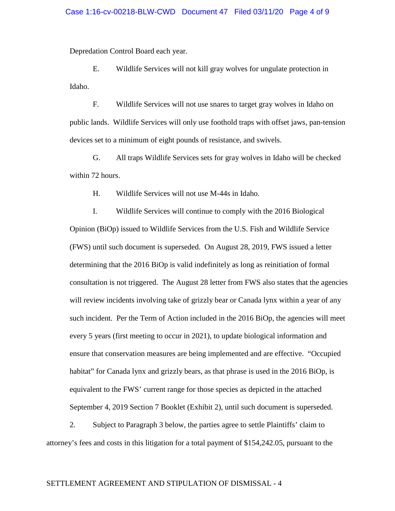Depredation Control Board each year.

E. Wildlife Services will not kill gray wolves for ungulate protection in Idaho.

F. Wildlife Services will not use snares to target gray wolves in Idaho on public lands. Wildlife Services will only use foothold traps with offset jaws, pan-tension devices set to a minimum of eight pounds of resistance, and swivels.

G. All traps Wildlife Services sets for gray wolves in Idaho will be checked within 72 hours.

H. Wildlife Services will not use M-44s in Idaho.

I. Wildlife Services will continue to comply with the 2016 Biological Opinion (BiOp) issued to Wildlife Services from the U.S. Fish and Wildlife Service (FWS) until such document is superseded. On August 28, 2019, FWS issued a letter determining that the 2016 BiOp is valid indefinitely as long as reinitiation of formal consultation is not triggered. The August 28 letter from FWS also states that the agencies will review incidents involving take of grizzly bear or Canada lynx within a year of any such incident. Per the Term of Action included in the 2016 BiOp, the agencies will meet every 5 years (first meeting to occur in 2021), to update biological information and ensure that conservation measures are being implemented and are effective. "Occupied habitat" for Canada lynx and grizzly bears, as that phrase is used in the 2016 BiOp, is equivalent to the FWS' current range for those species as depicted in the attached September 4, 2019 Section 7 Booklet (Exhibit 2), until such document is superseded.

2. Subject to Paragraph 3 below, the parties agree to settle Plaintiffs' claim to attorney's fees and costs in this litigation for a total payment of \$154,242.05, pursuant to the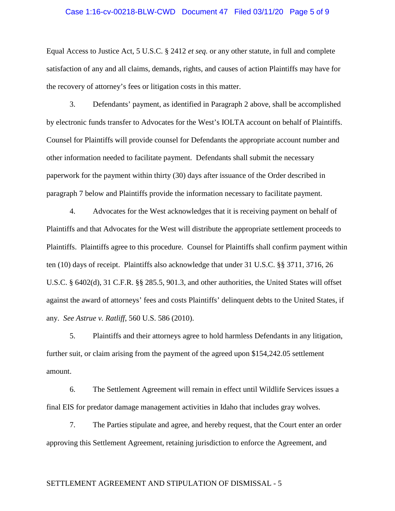### Case 1:16-cv-00218-BLW-CWD Document 47 Filed 03/11/20 Page 5 of 9

Equal Access to Justice Act, 5 U.S.C. § 2412 *et seq.* or any other statute, in full and complete satisfaction of any and all claims, demands, rights, and causes of action Plaintiffs may have for the recovery of attorney's fees or litigation costs in this matter.

3. Defendants' payment, as identified in Paragraph 2 above, shall be accomplished by electronic funds transfer to Advocates for the West's IOLTA account on behalf of Plaintiffs. Counsel for Plaintiffs will provide counsel for Defendants the appropriate account number and other information needed to facilitate payment. Defendants shall submit the necessary paperwork for the payment within thirty (30) days after issuance of the Order described in paragraph 7 below and Plaintiffs provide the information necessary to facilitate payment.

4. Advocates for the West acknowledges that it is receiving payment on behalf of Plaintiffs and that Advocates for the West will distribute the appropriate settlement proceeds to Plaintiffs. Plaintiffs agree to this procedure. Counsel for Plaintiffs shall confirm payment within ten (10) days of receipt. Plaintiffs also acknowledge that under 31 U.S.C. §§ 3711, 3716, 26 U.S.C. § 6402(d), 31 C.F.R. §§ 285.5, 901.3, and other authorities, the United States will offset against the award of attorneys' fees and costs Plaintiffs' delinquent debts to the United States, if any. *See Astrue v. Ratliff*, 560 U.S. 586 (2010).

5. Plaintiffs and their attorneys agree to hold harmless Defendants in any litigation, further suit, or claim arising from the payment of the agreed upon \$154,242.05 settlement amount.

6. The Settlement Agreement will remain in effect until Wildlife Services issues a final EIS for predator damage management activities in Idaho that includes gray wolves.

7. The Parties stipulate and agree, and hereby request, that the Court enter an order approving this Settlement Agreement, retaining jurisdiction to enforce the Agreement, and

# SETTLEMENT AGREEMENT AND STIPULATION OF DISMISSAL - 5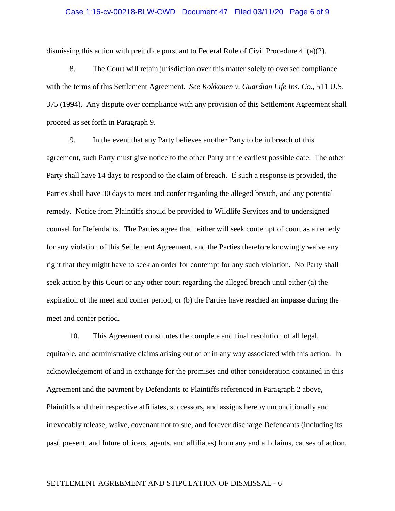### Case 1:16-cv-00218-BLW-CWD Document 47 Filed 03/11/20 Page 6 of 9

dismissing this action with prejudice pursuant to Federal Rule of Civil Procedure  $41(a)(2)$ .

8. The Court will retain jurisdiction over this matter solely to oversee compliance with the terms of this Settlement Agreement. *See Kokkonen v. Guardian Life Ins. Co.,* 511 U.S. 375 (1994). Any dispute over compliance with any provision of this Settlement Agreement shall proceed as set forth in Paragraph 9.

9. In the event that any Party believes another Party to be in breach of this agreement, such Party must give notice to the other Party at the earliest possible date. The other Party shall have 14 days to respond to the claim of breach. If such a response is provided, the Parties shall have 30 days to meet and confer regarding the alleged breach, and any potential remedy. Notice from Plaintiffs should be provided to Wildlife Services and to undersigned counsel for Defendants. The Parties agree that neither will seek contempt of court as a remedy for any violation of this Settlement Agreement, and the Parties therefore knowingly waive any right that they might have to seek an order for contempt for any such violation. No Party shall seek action by this Court or any other court regarding the alleged breach until either (a) the expiration of the meet and confer period, or (b) the Parties have reached an impasse during the meet and confer period.

10. This Agreement constitutes the complete and final resolution of all legal, equitable, and administrative claims arising out of or in any way associated with this action. In acknowledgement of and in exchange for the promises and other consideration contained in this Agreement and the payment by Defendants to Plaintiffs referenced in Paragraph 2 above, Plaintiffs and their respective affiliates, successors, and assigns hereby unconditionally and irrevocably release, waive, covenant not to sue, and forever discharge Defendants (including its past, present, and future officers, agents, and affiliates) from any and all claims, causes of action,

### SETTLEMENT AGREEMENT AND STIPULATION OF DISMISSAL - 6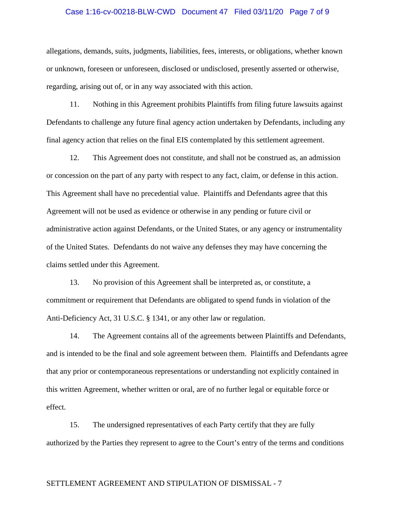### Case 1:16-cv-00218-BLW-CWD Document 47 Filed 03/11/20 Page 7 of 9

allegations, demands, suits, judgments, liabilities, fees, interests, or obligations, whether known or unknown, foreseen or unforeseen, disclosed or undisclosed, presently asserted or otherwise, regarding, arising out of, or in any way associated with this action.

11. Nothing in this Agreement prohibits Plaintiffs from filing future lawsuits against Defendants to challenge any future final agency action undertaken by Defendants, including any final agency action that relies on the final EIS contemplated by this settlement agreement.

12. This Agreement does not constitute, and shall not be construed as, an admission or concession on the part of any party with respect to any fact, claim, or defense in this action. This Agreement shall have no precedential value. Plaintiffs and Defendants agree that this Agreement will not be used as evidence or otherwise in any pending or future civil or administrative action against Defendants, or the United States, or any agency or instrumentality of the United States. Defendants do not waive any defenses they may have concerning the claims settled under this Agreement.

13. No provision of this Agreement shall be interpreted as, or constitute, a commitment or requirement that Defendants are obligated to spend funds in violation of the Anti-Deficiency Act, 31 U.S.C. § 1341, or any other law or regulation.

14. The Agreement contains all of the agreements between Plaintiffs and Defendants, and is intended to be the final and sole agreement between them. Plaintiffs and Defendants agree that any prior or contemporaneous representations or understanding not explicitly contained in this written Agreement, whether written or oral, are of no further legal or equitable force or effect.

15. The undersigned representatives of each Party certify that they are fully authorized by the Parties they represent to agree to the Court's entry of the terms and conditions

## SETTLEMENT AGREEMENT AND STIPULATION OF DISMISSAL - 7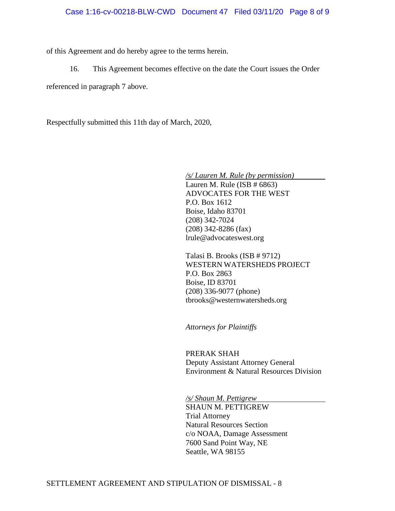of this Agreement and do hereby agree to the terms herein.

16. This Agreement becomes effective on the date the Court issues the Order

referenced in paragraph 7 above.

Respectfully submitted this 11th day of March, 2020,

*/s/ Lauren M. Rule (by permission)*

Lauren M. Rule (ISB  $# 6863$ ) ADVOCATES FOR THE WEST P.O. Box 1612 Boise, Idaho 83701 (208) 342-7024 (208) 342-8286 (fax) lrule@advocateswest.org

Talasi B. Brooks (ISB # 9712) WESTERN WATERSHEDS PROJECT P.O. Box 2863 Boise, ID 83701 (208) 336-9077 (phone) tbrooks@westernwatersheds.org

*Attorneys for Plaintiffs*

PRERAK SHAH Deputy Assistant Attorney General Environment & Natural Resources Division

*/s/ Shaun M. Pettigrew*

SHAUN M. PETTIGREW Trial Attorney Natural Resources Section c/o NOAA, Damage Assessment 7600 Sand Point Way, NE Seattle, WA 98155